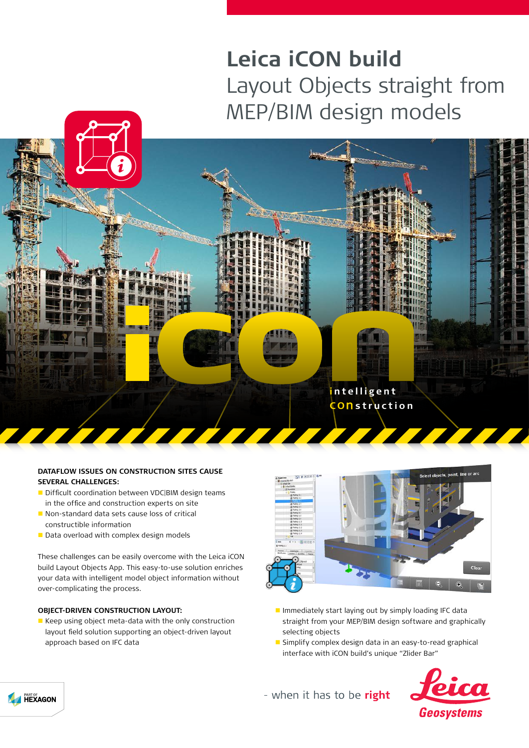## **Leica iCON build** Layout Objects straight from MEP/BIM design models



## **DATAFLOW ISSUES ON CONSTRUCTION SITES CAUSE SEVERAL CHALLENGES:**

- Difficult coordination between VDC|BIM design teams in the office and construction experts on site
- Non-standard data sets cause loss of critical constructible information
- Data overload with complex design models

These challenges can be easily overcome with the Leica iCON build Layout Objects App. This easy-to-use solution enriches your data with intelligent model object information without over-complicating the process.

## **OBIECT-DRIVEN CONSTRUCTION LAYOUT:**

 $\blacksquare$  Keep using object meta-data with the only construction layout field solution supporting an object-driven layout approach based on IFC data



- $\blacksquare$  Immediately start laying out by simply loading IFC data straight from your MEP/BIM design software and graphically selecting objects
- Simplify complex design data in an easy-to-read graphical interface with iCON build's unique "Zlider Bar"



- when it has to be right